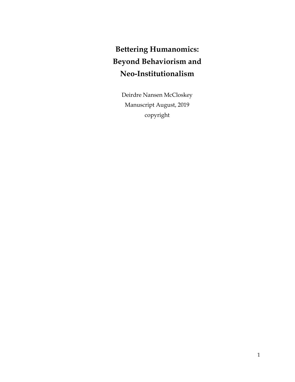# **Bettering Humanomics: Beyond Behaviorism and Neo-Institutionalism**

Deirdre Nansen McCloskey Manuscript August, 2019 copyright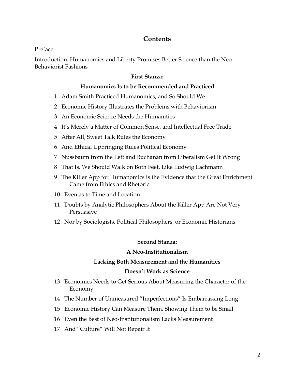# **Contents**

Preface

Introduction: Humanomics and Liberty Promises Better Science than the Neo-Behaviorist Fashions

# **First Stanza:**

# **Humanomics Is to be Recommended and Practiced**

- 1 Adam Smith Practiced Humanomics, and So Should We
- 2 Economic History Illustrates the Problems with Behaviorism
- 3 An Economic Science Needs the Humanities
- 4 It's Merely a Matter of Common Sense, and Intellectual Free Trade
- 5 After All, Sweet Talk Rules the Economy
- 6 And Ethical Upbringing Rules Political Economy
- 7 Nussbaum from the Left and Buchanan from Liberalism Get It Wrong
- 8 That Is, We Should Walk on Both Feet, Like Ludwig Lachmann
- 9 The Killer App for Humanomics is the Evidence that the Great Enrichment Came from Ethics and Rhetoric
- 10 Even as to Time and Location
- 11 Doubts by Analytic Philosophers About the Killer App Are Not Very Persuasive
- 12 Nor by Sociologists, Political Philosophers, or Economic Historians

## **Second Stanza:**

## **A Neo-Institutionalism**

# **Lacking Both Measurement and the Humanities**

## **Doesn't Work as Science**

- 13 Economics Needs to Get Serious About Measuring the Character of the Economy
- 14 The Number of Unmeasured "Imperfections" Is Embarrassing Long
- 15 Economic History Can Measure Them, Showing Them to be Small
- 16 Even the Best of Neo-Institutionalism Lacks Measurement
- 17 And "Culture" Will Not Repair It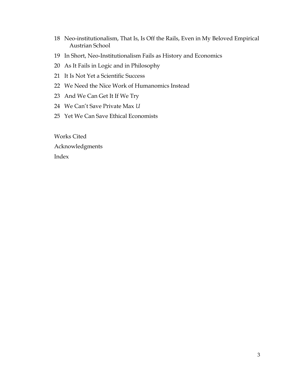- 18 Neo-institutionalism, That Is, Is Off the Rails, Even in My Beloved Empirical Austrian School
- 19 In Short, Neo-Institutionalism Fails as History and Economics
- 20 As It Fails in Logic and in Philosophy
- 21 It Is Not Yet a Scientific Success
- 22 We Need the Nice Work of Humanomics Instead
- 23 And We Can Get It If We Try
- 24 We Can't Save Private Max *U*
- 25 Yet We Can Save Ethical Economists

Works Cited Acknowledgments Index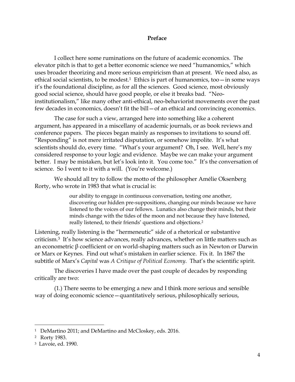## **Preface**

I collect here some ruminations on the future of academic economics. The elevator pitch is that to get a better economic science we need "humanomics," which uses broader theorizing and more serious empiricism than at present. We need also, as ethical social scientists, to be modest.<sup>1</sup> Ethics is part of humanomics, too—in some ways it's the foundational discipline, as for all the sciences. Good science, most obviously good social science, should have good people, or else it breaks bad. "Neoinstitutionalism," like many other anti-ethical, neo-behaviorist movements over the past few decades in economics, doesn't fit the bill—of an ethical and convincing economics.

The case for such a view, arranged here into something like a coherent argument, has appeared in a miscellany of academic journals, or as book reviews and conference papers. The pieces began mainly as responses to invitations to sound off. "Responding" is not mere irritated disputation, or somehow impolite. It's what scientists should do, every time. "What's your argument? Oh, I see. Well, here's my considered response to your logic and evidence. Maybe we can make your argument better. I may be mistaken, but let's look into it. You come too." It's the conversation of science. So I went to it with a will. (You're welcome.)

We should all try to follow the motto of the philosopher Amélie Oksenberg Rorty, who wrote in 1983 that what is crucial is:

> our ability to engage in continuous conversation, testing one another, discovering our hidden pre-suppositions, changing our minds because we have listened to the voices of our fellows. Lunatics also change their minds, but their minds change with the tides of the moon and not because they have listened, really listened, to their friends' questions and objections.<sup>2</sup>

Listening, really listening is the "hermeneutic" side of a rhetorical or substantive criticism.<sup>3</sup> It's how science advances, really advances, whether on little matters such as an econometric β coefficient or on world-shaping matters such as in Newton or Darwin or Marx or Keynes. Find out what's mistaken in earlier science. Fix it. In 1867 the subtitle of Marx's *Capital* was *A Critique of Political Economy*. That's the scientific spirit.

The discoveries I have made over the past couple of decades by responding critically are two:

(1.) There seems to be emerging a new and I think more serious and sensible way of doing economic science—quantitatively serious, philosophically serious,

<sup>1</sup> DeMartino 2011; and DeMartino and McCloskey, eds. 2016.

<sup>2</sup> Rorty 1983.

<sup>3</sup> Lavoie, ed. 1990.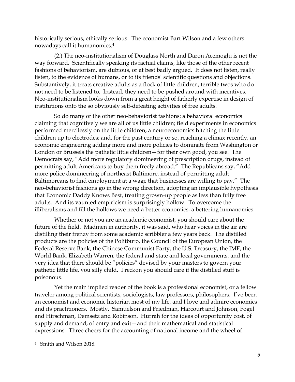historically serious, ethically serious. The economist Bart Wilson and a few others nowadays call it humanomics.<sup>4</sup>

(2.) The neo-institutionalism of Douglass North and Daron Acemoglu is not the way forward. Scientifically speaking its factual claims, like those of the other recent fashions of behaviorism, are dubious, or at best badly argued. It does not listen, really listen, to the evidence of humans, or to its friends' scientific questions and objections. Substantively, it treats creative adults as a flock of little children, terrible twos who do not need to be listened to. Instead, they need to be pushed around with incentives. Neo-institutionalism looks down from a great height of fatherly expertise in design of institutions onto the so obviously self-defeating activities of free adults.

So do many of the other neo-behaviorist fashions: a behavioral economics claiming that cognitively we are all of us little children; field experiments in economics performed mercilessly on the little children; a neuroeconomics hitching the little children up to electrodes; and, for the past century or so, reaching a climax recently, an economic engineering adding more and more policies to dominate from Washington or London or Brussels the pathetic little children—for their own good, you see. The Democrats say, "Add more regulatory domineering of prescription drugs, instead of permitting adult Americans to buy them freely abroad." The Republicans say, "Add more police domineering of northeast Baltimore, instead of permitting adult Baltimoreans to find employment at a wage that businesses are willing to pay." The neo-behaviorist fashions go in the wrong direction, adopting an implausible hypothesis that Economic Daddy Knows Best, treating grown-up people as less than fully free adults. And its vaunted empiricism is surprisingly hollow. To overcome the illiberalisms and fill the hollows we need a better economics, a bettering humanomics.

Whether or not you are an academic economist, you should care about the future of the field. Madmen in authority, it was said, who hear voices in the air are distilling their frenzy from some academic scribbler a few years back. The distilled products are the policies of the Politburo, the Council of the European Union, the Federal Reserve Bank, the Chinese Communist Party, the U.S. Treasury, the IMF, the World Bank, Elizabeth Warren, the federal and state and local governments, and the very idea that there should be "policies" devised by your masters to govern your pathetic little life, you silly child. I reckon you should care if the distilled stuff is poisonous.

Yet the main implied reader of the book is a professional economist, or a fellow traveler among political scientists, sociologists, law professors, philosophers. I've been an economist and economic historian most of my life, and I love and admire economics and its practitioners. Mostly. Samuelson and Friedman, Harcourt and Johnson, Fogel and Hirschman, Demsetz and Robinson. Hurrah for the ideas of opportunity cost, of supply and demand, of entry and exit—and their mathematical and statistical expressions. Three cheers for the accounting of national income and the wheel of

<sup>4</sup> Smith and Wilson 2018.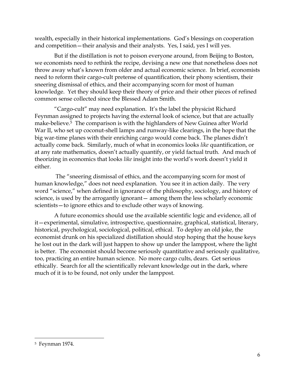wealth, especially in their historical implementations. God's blessings on cooperation and competition—their analysis and their analysts. Yes, I said, yes I will yes.

But if the distillation is not to poison everyone around, from Beijing to Boston, we economists need to rethink the recipe, devising a new one that nonetheless does not throw away what's known from older and actual economic science. In brief, economists need to reform their cargo-cult pretense of quantification, their phony scientism, their sneering dismissal of ethics, and their accompanying scorn for most of human knowledge. Yet they should keep their theory of price and their other pieces of refined common sense collected since the Blessed Adam Smith.

"Cargo-cult" may need explanation. It's the label the physicist Richard Feynman assigned to projects having the external look of science, but that are actually make-believe.<sup>5</sup> The comparison is with the highlanders of New Guinea after World War II, who set up coconut-shell lamps and runway-like clearings, in the hope that the big war-time planes with their enriching cargo would come back. The planes didn't actually come back. Similarly, much of what in economics looks *like* quantification, or at any rate mathematics, doesn't actually quantify, or yield factual truth. And much of theorizing in economics that looks *like* insight into the world's work doesn't yield it either.

The "sneering dismissal of ethics, and the accompanying scorn for most of human knowledge," does not need explanation. You see it in action daily. The very word "science," when defined in ignorance of the philosophy, sociology, and history of science, is used by the arrogantly ignorant— among them the less scholarly economic scientists—to ignore ethics and to exclude other ways of knowing.

A future economics should use the available scientific logic and evidence, all of it—experimental, simulative, introspective, questionnaire, graphical, statistical, literary, historical, psychological, sociological, political, ethical. To deploy an old joke, the economist drunk on his specialized distillation should stop hoping that the house keys he lost out in the dark will just happen to show up under the lamppost, where the light is better. The economist should become seriously quantitative and seriously qualitative, too, practicing an entire human science. No more cargo cults, dears. Get serious ethically. Search for all the scientifically relevant knowledge out in the dark, where much of it is to be found, not only under the lamppost.

<sup>5</sup> Feynman 1974.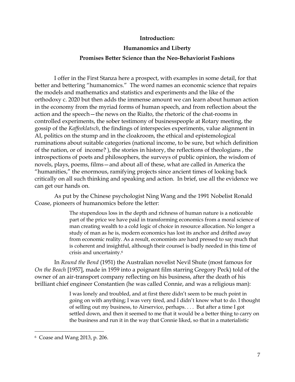## **Introduction:**

#### **Humanomics and Liberty**

#### **Promises Better Science than the Neo-Behaviorist Fashions**

I offer in the First Stanza here a prospect, with examples in some detail, for that better and bettering "humanomics." The word names an economic science that repairs the models and mathematics and statistics and experiments and the like of the orthodoxy c. 2020 but then adds the immense amount we can learn about human action in the economy from the myriad forms of human speech, and from reflection about the action and the speech—the news on the Rialto, the rhetoric of the chat-rooms in controlled experiments, the sober testimony of businesspeople at Rotary meeting, the gossip of the *Kaffeeklatsch*, the findings of interspecies experiments, value alignment in AI, politics on the stump and in the cloakroom, the ethical and epistemological ruminations about suitable categories (national income, to be sure, but which definition of the nation, or of income? ), the stories in history, the reflections of theologians , the introspections of poets and philosophers, the surveys of public opinion, the wisdom of novels, plays, poems, films—and about all of these, what are called in America the "humanities," the enormous, ramifying projects since ancient times of looking back critically on all such thinking and speaking and action. In brief, use all the evidence we can get our hands on.

As put by the Chinese psychologist Ning Wang and the 1991 Nobelist Ronald Coase, pioneers of humanomics before the letter:

> The stupendous loss in the depth and richness of human nature is a noticeable part of the price we have paid in transforming economics from a moral science of man creating wealth to a cold logic of choice in resource allocation. No longer a study of man as he is, modern economics has lost its anchor and drifted away from economic reality. As a result, economists are hard pressed to say much that is coherent and insightful, although their counsel is badly needed in this time of crisis and uncertainty.<sup>6</sup>

In *Round the Bend* (1951) the Australian novelist Nevil Shute (most famous for *On the Beach* [1957], made in 1959 into a poignant film starring Gregory Peck) told of the owner of an air-transport company reflecting on his business, after the death of his brilliant chief engineer Constantien (he was called Connie, and was a religious man):

> I was lonely and troubled, and at first there didn't seem to be much point in going on with anything; I was very tired, and I didn't know what to do. I thought of selling out my business, to Airservice, perhaps. . . . But after a time I got settled down, and then it seemed to me that it would be a better thing to carry on the business and run it in the way that Connie liked, so that in a materialistic

<sup>6</sup> Coase and Wang 2013, p. 206.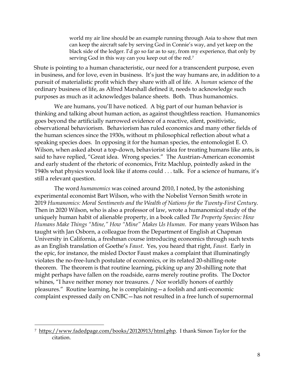world my air line should be an example running through Asia to show that men can keep the aircraft safe by serving God in Connie's way, and yet keep on the black side of the ledger. I'd go so far as to say, from my experience, that only by serving God in this way can you keep out of the red.<sup>7</sup>

Shute is pointing to a human characteristic, our need for a transcendent purpose, even in business, and for love, even in business. It's just the way humans are, in addition to a pursuit of materialistic profit which they share with all of life. A *human* science of the ordinary business of life, as Alfred Marshall defined it, needs to acknowledge such purposes as much as it acknowledges balance sheets. Both. Thus humanomics.

We are humans, you'll have noticed. A big part of our human behavior is thinking and talking about human action, as against thoughtless reaction. Humanomics goes beyond the artificially narrowed evidence of a reactive, silent, positivistic, observational behaviorism. Behaviorism has ruled economics and many other fields of the human sciences since the 1930s, without m philosophical reflection about what a speaking species does. In opposing it for the human species, the entomologist E. O. Wilson, when asked about a top-down, behaviorist idea for treating humans like ants, is said to have replied, "Great idea. Wrong species." The Austrian-American economist and early student of the rhetoric of economics, Fritz Machlup, pointedly asked in the 1940s what physics would look like if atoms could . . . talk. For a science of humans, it's still a relevant question.

The word *humanomics* was coined around 2010, I noted, by the astonishing experimental economist Bart Wilson, who with the Nobelist Vernon Smith wrote in 2019 *Humanomics: Moral Sentiments and the Wealth of Nations for the Twenty-First Century*. Then in 2020 Wilson, who is also a professor of law, wrote a humanomical study of the uniquely human habit of alienable property, in a book called *The Property Species: How Humans Make Things "Mine," How "Mine" Makes Us Human*. For many years Wilson has taught with Jan Osborn, a colleague from the Department of English at Chapman University in California, a freshman course introducing economics through such texts as an English translation of Goethe's *Faust*. Yes, you heard that right, *Faust.* Early in the epic, for instance, the misled Doctor Faust makes a complaint that illuminatingly violates the no-free-lunch postulate of economics, or its related 20-shilling-note theorem. The theorem is that routine learning, picking up any 20-shilling note that might perhaps have fallen on the roadside, earns merely routine profits. The Doctor whines, "I have neither money nor treasures. / Nor worldly honors of earthly pleasures." Routine learning, he is complaining—a foolish and anti-economic complaint expressed daily on CNBC—has not resulted in a free lunch of supernormal

<sup>7</sup> [https://www.fadedpage.com/books/20120913/html.php.](https://www.fadedpage.com/books/20120913/html.php) I thank Simon Taylor for the citation.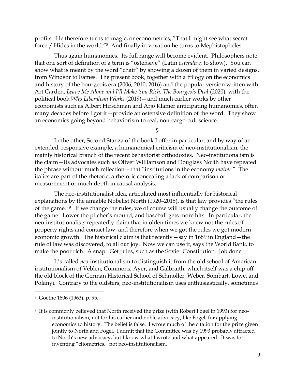profits. He therefore turns to magic, or econometrics, "That I might see what secret force / Hides in the world."8 And finally in vexation he turns to Mephistopheles.

Thus again humanomics. Its full range will become evident. Philosophers note that one sort of definition of a term is "ostensive" (Latin *ostendere,* to show). You can show what is meant by the word "chair" by showing a dozen of them in varied designs, from Windsor to Eames. The present book, together with a trilogy on the economics and history of the bourgeois era (2006, 2010, 2016) and the popular version written with Art Carden, *Leave Me Alone and I'll Make You Rich: The Bourgeois Deal (2020)*, with the political book *Why Liberalism Works* (2019)—and much earlier works by other economists such as Albert Hirschman and Arjo Klamer anticipating humanomics, often many decades before I got it—provide an ostensive definition of the word. They show an economics going beyond behaviorism to real, non-cargo-cult science.

§

In the other, Second Stanza of the book I offer in particular, and by way of an extended, responsive example, a humanomical criticism of neo-institutionalism, the mainly historical branch of the recent behaviorist orthodoxies. Neo-institutionalism is the claim—its advocates such as Oliver Williamson and Douglass North have repeated the phrase without much reflection—that "institutions in the economy *matter*." The italics are part of the rhetoric, a rhetoric concealing a lack of comparison or measurement or much depth in causal analysis.

The neo-institutionalist idea, articulated most influentially for historical explanations by the amiable Nobelist North (1920–2015), is that law provides "the rules of the game."9 If we change the rules, we of course will usually change the outcome of the game. Lower the pitcher's mound, and baseball gets more hits. In particular, the neo-institutionalists repeatedly claim that in olden times we knew not the rules of property rights and contact law, and therefore when we got the rules we got modern economic growth. The historical claim is that recently—say in 1689 in England—the rule of law was discovered, to all our joy. Now we can use it, says the World Bank, to make the poor rich. A snap. Get rules, such as the Soviet Constitution. Job done.

It's called *neo*-institutionalism to distinguish it from the old school of American institutionalism of Veblen, Commons, Ayer, and Galbraith, which itself was a chip off the old block of the German Historical School of Schmoller, Weber, Sombart, Lowe, and Polanyi. Contrary to the oldsters, neo-institutionalism uses enthusiastically, sometimes

<sup>8</sup> Goethe 1806 (1963), p. 95.

<sup>9</sup> It is commonly believed that North received the prize (with Robert Fogel in 1993) for neoinstitutionalism, not for his earlier and noble advocacy, like Fogel, for applying economics to history. The belief is false. I wrote much of the citation for the prize given jointly to North and Fogel. I admit that the Committee was by 1993 probably attracted to North's new advocacy, but I know what I wrote and what appeared. It was for inventing "cliometrics," not neo-institutionalism.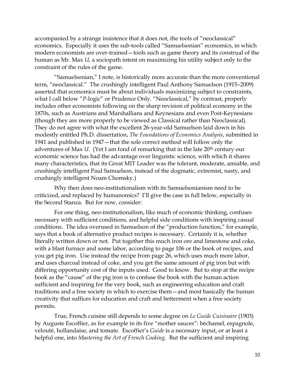accompanied by a strange insistence that it does not, the tools of "neoclassical" economics. Especially it uses the sub-tools called "Samuelsonian" economics, in which modern economists are over-trained—tools such as game theory and its construal of the human as Mr. Max *U,* a sociopath intent on maximizing his utility subject only to the constraint of the rules of the game.

"Samuelsonian," I note, is historically more accurate than the more conventional term, "neoclassical." The crushingly intelligent Paul Anthony Samuelson (1915–2009) asserted that economics must be about individuals maximizing subject to constraints, what I call below "*P*-logic" or Prudence Only. "Neoclassical," by contrast, properly includes other economists following on the sharp revision of political economy in the 1870s, such as Austrians and Marshallians and Keynesians and even Post-Keynesians (though they are more properly to be viewed as Classical rather than Neoclassical). They do not agree with what the excellent 26-year-old Samuelson laid down in his modestly entitled Ph.D. dissertation, *The Foundations of Economics Analysis*, submitted in 1941 and published in 1947—that the sole correct method will follow only the adventures of Max *U*. (Yet I am fond of remarking that in the late 20<sup>th</sup> century our economic science has had the advantage over linguistic science, with which it shares many characteristics, that its Great MIT Leader was the tolerant, moderate, amiable, and crushingly intelligent Paul Samuelson, instead of the dogmatic, extremist, nasty, and crushingly intelligent Noam Chomsky.)

Why then does neo-institutionalism with its Samuelsonianism need to be criticized, and replaced by humanomics? I'll give the case in full below, especially in the Second Stanza. But for now, consider:

For one thing, neo-institutionalism, like much of economic thinking, confuses necessary with sufficient conditions, and helpful side conditions with inspiring casual conditions. The idea overused in Samuelson of the "production function," for example, says that a book of alternative product recipes is necessary. Certainly it is, whether literally written down or not. Put together this much iron ore and limestone and coke, with a blast furnace and some labor, according to page 106 or the book of recipes, and you get pig iron. Use instead the recipe from page 26, which uses much more labor, and uses charcoal instead of coke, and you get the same amount of pig iron but with differing opportunity cost of the inputs used. Good to know. But to stop at the recipe book as the "cause" of the pig iron is to confuse the book with the human action sufficient and inspiring for the very book, such as engineering education and craft traditions and a free society in which to exercise them—and most basically the human creativity that suffices for education and craft and betterment when a free society permits.

True, French cuisine still depends to some degree on *Le Guide Cuisinaire* (1903) by Auguste Escoffier, as for example in its five "mother sauces": béchamel, espagnole, velouté, hollandaise, and tomate. Escoffier's *Guide* is a necessary input, or at least a helpful one, into *Mastering the Art of French Cooking.* But the sufficient and inspiring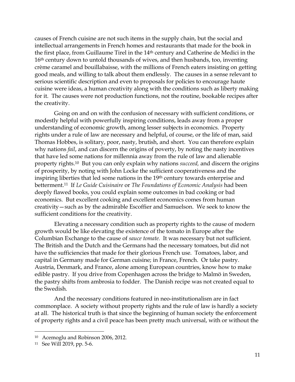causes of French cuisine are not such items in the supply chain, but the social and intellectual arrangements in French homes and restaurants that made for the book in the first place, from Guillaume Tirel in the 14th century and Catherine de Medici in the 16<sup>th</sup> century down to untold thousands of wives, and then husbands, too, inventing crème caramel and bouillabaisse, with the millions of French eaters insisting on getting good meals, and willing to talk about them endlessly. The causes in a sense relevant to serious scientific description and even to proposals for policies to encourage haute cuisine were ideas, a human creativity along with the conditions such as liberty making for it. The causes were not production functions, not the routine, bookable recipes after the creativity.

Going on and on with the confusion of necessary with sufficient conditions, or modestly helpful with powerfully inspiring conditions, leads away from a proper understanding of economic growth, among lesser subjects in economics. Property rights under a rule of law are necessary and helpful, of course, or the life of man, said Thomas Hobbes, is solitary, poor, nasty, brutish, and short. You can therefore explain why nations *fail*, and can discern the origins of poverty, by noting the nasty incentives that have led some nations for millennia away from the rule of law and alienable property rights.10 But you can only explain why nations *succeed,* and discern the origins of prosperity, by noting with John Locke the sufficient cooperativeness and the inspiring liberties that led some nations in the 19<sup>th</sup> century towards enterprise and betterment.11 If *Le Guide Cuisinaire* or *The Foundations of Economic Analysis* had been deeply flawed books, you could explain some outcomes in bad cooking or bad economics. But excellent cooking and excellent economics comes from human creativity—such as by the admirable Escoffier and Samuelson. We seek to know the sufficient conditions for the creativity.

Elevating a necessary condition such as property rights to the cause of modern growth would be like elevating the existence of the tomato in Europe after the Columbian Exchange to the cause of *sauce tomate.* It was necessary but not sufficient. The British and the Dutch and the Germans had the necessary tomatoes, but did not have the sufficiencies that made for their glorious French use. Tomatoes, labor, and capital in Germany made for German cuisine; in France, French. Or take pastry. Austria, Denmark, and France, alone among European countries, know how to make edible pastry. If you drive from Copenhagen across the bridge to Malmö in Sweden, the pastry shifts from ambrosia to fodder. The Danish recipe was not created equal to the Swedish.

And the necessary conditions featured in neo-institutionalism are in fact commonplace. A society without property rights and the rule of law is hardly a society at all. The historical truth is that since the beginning of human society the enforcement of property rights and a civil peace has been pretty much universal, with or without the

<sup>10</sup> Acemoglu and Robinson 2006, 2012.

<sup>11</sup> See Will 2019, pp. 5-6.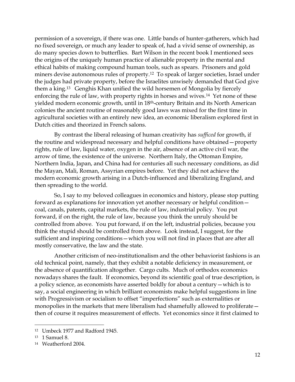permission of a sovereign, if there was one. Little bands of hunter-gatherers, which had no fixed sovereign, or much any leader to speak of, had a vivid sense of ownership, as do many species down to butterflies. Bart Wilson in the recent book I mentioned sees the origins of the uniquely human practice of alienable property in the mental and ethical habits of making compound human tools, such as spears. Prisoners and gold miners devise autonomous rules of property.12 To speak of larger societies, Israel under the judges had private property, before the Israelites unwisely demanded that God give them a king.13 Genghis Khan unified the wild horsemen of Mongolia by fiercely enforcing the rule of law, with property rights in horses and wives.<sup>14</sup> Yet none of these yielded modern economic growth, until in 18th-century Britain and its North American colonies the ancient routine of reasonably good laws was mixed for the first time in agricultural societies with an entirely new idea, an economic liberalism explored first in Dutch cities and theorized in French salons.

By contrast the liberal releasing of human creativity has *sufficed* for growth, if the routine and widespread necessary and helpful conditions have obtained—property rights, rule of law, liquid water, oxygen in the air, absence of an active civil war, the arrow of time, the existence of the universe. Northern Italy, the Ottoman Empire, Northern India, Japan, and China had for centuries all such necessary conditions, as did the Mayan, Mali, Roman, Assyrian empires before. Yet they did not achieve the modern economic growth arising in a Dutch-influenced and liberalizing England, and then spreading to the world.

So, I say to my beloved colleagues in economics and history, please stop putting forward as explanations for innovation yet another necessary or helpful condition coal, canals, patents, capital markets, the rule of law, industrial policy. You put forward, if on the right, the rule of law, because you think the unruly should be controlled from above. You put forward, if on the left, industrial policies, because you think the stupid should be controlled from above. Look instead, I suggest, for the sufficient and inspiring conditions—which you will not find in places that are after all mostly conservative, the law and the state.

Another criticism of neo-institutionalism and the other behaviorist fashions is an old technical point, namely, that they exhibit a notable deficiency in measurement, or the absence of quantification altogether. Cargo cults. Much of orthodox economics nowadays shares the fault. If economics, beyond its scientific goal of true description, is a policy science, as economists have asserted boldly for about a century—which is to say, a social engineering in which brilliant economists make helpful suggestions in line with Progressivism or socialism to offset "imperfections" such as externalities or monopolies in the markets that mere liberalism had shamefully allowed to proliferate then of course it requires measurement of effects. Yet economics since it first claimed to

<sup>12</sup> Umbeck 1977 and Radford 1945.

<sup>13</sup> 1 Samuel 8.

<sup>14</sup> Weatherford 2004.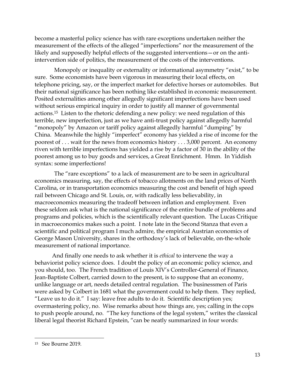become a masterful policy science has with rare exceptions undertaken neither the measurement of the effects of the alleged "imperfections" nor the measurement of the likely and supposedly helpful effects of the suggested interventions—or on the antiintervention side of politics, the measurement of the costs of the interventions.

Monopoly or inequality or externality or informational asymmetry "exist," to be sure. Some economists have been vigorous in measuring their local effects, on telephone pricing, say, or the imperfect market for defective horses or automobiles. But their national significance has been nothing like established in economic measurement. Posited externalities among other allegedly significant imperfections have been used without serious empirical inquiry in order to justify all manner of governmental actions.15 Listen to the rhetoric defending a new policy: we need regulation of this terrible, new imperfection, just as we have anti-trust policy against allegedly harmful "monopoly" by Amazon or tariff policy against allegedly harmful "dumping" by China. Meanwhile the highly "imperfect" economy has yielded a rise of income for the poorest of . . . wait for the news from economics history . . . 3,000 percent. An economy riven with terrible imperfections has yielded a rise by a factor of 30 in the ability of the poorest among us to buy goods and services, a Great Enrichment. Hmm. In Yiddish syntax: some imperfections!

The "rare exceptions" to a lack of measurement are to be seen in agricultural economics measuring, say, the effects of tobacco allotments on the land prices of North Carolina, or in transportation economics measuring the cost and benefit of high speed rail between Chicago and St. Louis, or, with radically less believability, in macroeconomics measuring the tradeoff between inflation and employment. Even these seldom ask what is the national significance of the entire bundle of problems and programs and policies, which is the scientifically relevant question. The Lucas Critique in macroeconomics makes such a point. I note late in the Second Stanza that even a scientific and political program I much admire, the empirical Austrian economics of George Mason University, shares in the orthodoxy's lack of believable, on-the-whole measurement of national importance.

And finally one needs to ask whether it is *ethical* to intervene the way a behaviorist policy science does. I doubt the policy of an economic policy science, and you should, too. The French tradition of Louis XIV's Controller-General of Finance, Jean-Baptiste Colbert, carried down to the present, is to suppose that an economy, unlike language or art, needs detailed central regulation. The businessmen of Paris were asked by Colbert in 1681 what the government could to help them. They replied, "Leave us to do it." I say: leave free adults to do it. Scientific description yes; overmastering policy, no. Wise remarks about how things are, yes; calling in the cops to push people around, no. "The key functions of the legal system," writes the classical liberal legal theorist Richard Epstein, "can be neatly summarized in four words:

<sup>15</sup> See Bourne 2019.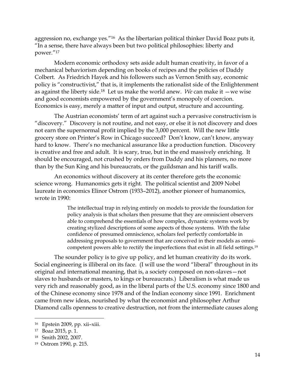aggression no, exchange yes."<sup>16</sup>As the libertarian political thinker David Boaz puts it*,*  "In a sense, there have always been but two political philosophies: liberty and power."<sup>17</sup>

Modern economic orthodoxy sets aside adult human creativity, in favor of a mechanical behaviorism depending on books of recipes and the policies of Daddy Colbert. As Friedrich Hayek and his followers such as Vernon Smith say, economic policy is "constructivist," that is, it implements the rationalist side of the Enlightenment as against the liberty side.18 Let us make the world anew. *We* can make it —we wise and good economists empowered by the government's monopoly of coercion. Economics is easy, merely a matter of input and output, structure and accounting.

The Austrian economists' term of art against such a pervasive constructivism is "discovery." Discovery is not routine, and not easy, or else it is not discovery and does not earn the supernormal profit implied by the 3,000 percent. Will the new little grocery store on Printer's Row in Chicago succeed? Don't know, can't know, anyway hard to know. There's no mechanical assurance like a production function. Discovery is creative and free and adult. It is scary, true, but in the end massively enriching. It should be encouraged, not crushed by orders from Daddy and his planners, no more than by the Sun King and his bureaucrats, or the guildsman and his tariff walls.

An economics without discovery at its center therefore gets the economic science wrong. Humanomics gets it right. The political scientist and 2009 Nobel laureate in economics Elinor Ostrom (1933–2012), another pioneer of humanomics, wrote in 1990:

> The intellectual trap in relying entirely on models to provide the foundation for policy analysis is that scholars then presume that they are omniscient observers able to comprehend the essentials of how complex, dynamic systems work by creating stylized descriptions of some aspects of those systems. With the false confidence of presumed omniscience, scholars feel perfectly comfortable in addressing proposals to government that are conceived in their models as omnicompetent powers able to rectify the imperfections that exist in all field settings.<sup>19</sup>

The sounder policy is to give up policy, and let human creativity do its work. Social engineering is illiberal on its face. (I will use the word "liberal" throughout in its original and international meaning, that is, a society composed on non-slaves—not slaves to husbands or masters, to kings or bureaucrats.) Liberalism is what made us very rich and reasonably good, as in the liberal parts of the U.S. economy since 1800 and of the Chinese economy since 1978 and of the Indian economy since 1991. Enrichment came from new ideas, nourished by what the economist and philosopher Arthur Diamond calls openness to creative destruction, not from the intermediate causes along

<sup>16</sup> Epstein 2009, pp. xii–xiii.

<sup>17</sup> Boaz 2015, p. 1.

<sup>18</sup> Smith 2002, 2007.

<sup>19</sup> Ostrom 1990, p. 215.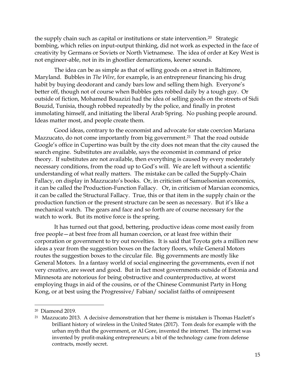the supply chain such as capital or institutions or state intervention.<sup>20</sup> Strategic bombing, which relies on input-output thinking, did not work as expected in the face of creativity by Germans or Soviets or North Vietnamese. The idea of order at Key West is not engineer-able, not in its in ghostlier demarcations, keener sounds.

The idea can be as simple as that of selling goods on a street in Baltimore, Maryland. Bubbles in *The Wire*, for example, is an entrepreneur financing his drug habit by buying deodorant and candy bars low and selling them high. Everyone's better off, though not of course when Bubbles gets robbed daily by a tough guy. Or outside of fiction, Mohamed Bouazizi had the idea of selling goods on the streets of Sidi Bouzid, Tunisia, though robbed repeatedly by the police, and finally in protest immolating himself, and initiating the liberal Arab Spring. No pushing people around. Ideas matter most, and people create them.

Good ideas, contrary to the economist and advocate for state coercion Mariana Mazzucato, do not come importantly from big government.<sup>21</sup> That the road outside Google's office in Cupertino was built by the city does not mean that the city caused the search engine. Substitutes are available, says the economist in command of price theory. If substitutes are not available, then everything is caused by every moderately necessary conditions, from the road up to God's will. We are left without a scientific understanding of what really matters. The mistake can be called the Supply-Chain Fallacy, on display in Mazzucato's books. Or, in criticism of Samuelsonian economics, it can be called the Production-Function Fallacy. Or, in criticism of Marxian economics, it can be called the Structural Fallacy. True, this or that item in the supply chain or the production function or the present structure can be seen as necessary. But it's like a mechanical watch. The gears and face and so forth are of course necessary for the watch to work. But its motive force is the spring.

It has turned out that good, bettering, productive ideas come most easily from free people—at best free from all human coercion, or at least free within their corporation or government to try out novelties. It is said that Toyota gets a million new ideas a year from the suggestion boxes on the factory floors, while General Motors routes the suggestion boxes to the circular file. Big governments are mostly like General Motors. In a fantasy world of social engineering the governments, even if not very creative, are sweet and good. But in fact most governments outside of Estonia and Minnesota are notorious for being obstructive and counterproductive, at worst employing thugs in aid of the cousins, or of the Chinese Communist Party in Hong Kong, or at best using the Progressive/ Fabian/ socialist faiths of omnipresent

<sup>20</sup> Diamond 2019.

<sup>&</sup>lt;sup>21</sup> Mazzucato 2013. A decisive demonstration that her theme is mistaken is Thomas Hazlett's brilliant history of wireless in the United States (2017). Tom deals for example with the urban myth that the government, or Al Gore, invented the internet. The internet was invented by profit-making entrepreneurs; a bit of the technology came from defense contracts, mostly secret.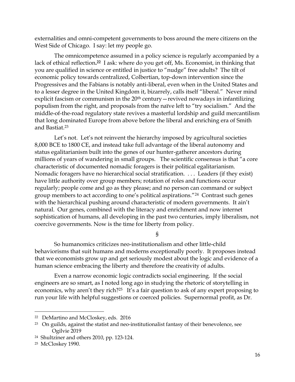externalities and omni-competent governments to boss around the mere citizens on the West Side of Chicago. I say: let my people go.

The omnicompetence assumed in a policy science is regularly accompanied by a lack of ethical reflection**. <sup>22</sup>** I ask: where do you get off, Ms. Economist, in thinking that you are qualified in science or entitled in justice to "nudge" free adults? The tilt of economic policy towards centralized, Colbertian, top-down intervention since the Progressives and the Fabians is notably anti-liberal, even when in the United States and to a lesser degree in the United Kingdom it, bizarrely, calls itself "liberal." Never mind explicit fascism or communism in the 20<sup>th</sup> century—revived nowadays in infantilizing populism from the right, and proposals from the naïve left to "try socialism." And the middle-of-the-road regulatory state revives a masterful lordship and guild mercantilism that long dominated Europe from above before the liberal and enriching era of Smith and Bastiat.<sup>23</sup>

Let's not. Let's not reinvent the hierarchy imposed by agricultural societies 8,000 BCE to 1800 CE, and instead take full advantage of the liberal autonomy and status egalitarianism built into the genes of our hunter-gatherer ancestors during millions of years of wandering in small groups. The scientific consensus is that "a core characteristic of documented nomadic foragers is their political egalitarianism. Nomadic foragers have no hierarchical social stratification. . . . Leaders (if they exist) have little authority over group members; rotation of roles and functions occur regularly; people come and go as they please; and no person can command or subject group members to act according to one's political aspirations."24 Contrast such genes with the hierarchical pushing around characteristic of modern governments. It ain't natural. Our genes, combined with the literacy and enrichment and now internet sophistication of humans, all developing in the past two centuries, imply liberalism, not coercive governments. Now is the time for liberty from policy.

§

So humanomics criticizes neo-institutionalism and other little-child behaviorisms that suit humans and moderns exceptionally poorly. It proposes instead that we economists grow up and get seriously modest about the logic and evidence of a human science embracing the liberty and therefore the creativity of adults.

Even a narrow economic logic contradicts social engineering. If the social engineers are so smart, as I noted long ago in studying the rhetoric of storytelling in economics, why aren't they rich?<sup>25</sup> It's a fair question to ask of any expert proposing to run your life with helpful suggestions or coerced policies. Supernormal profit, as Dr.

<sup>22</sup> DeMartino and McCloskey, eds. 2016

 $23$  On guilds, against the statist and neo-institutionalist fantasy of their benevolence, see Ogilvie 2019

<sup>24</sup> Shultziner and others 2010, pp. 123-124.

<sup>25</sup> McCloskey 1990.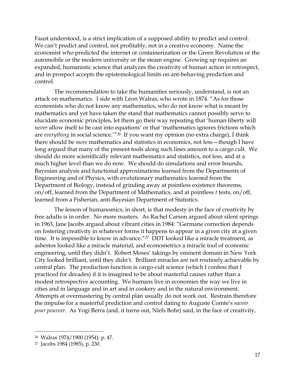Faust understood, is a strict implication of a supposed ability to predict and control. We can't predict and control, not profitably, not in a creative economy. Name the economist who predicted the internet or containerization or the Green Revolution or the automobile or the modern university or the steam engine. Growing up requires an expanded, humanistic science that analyzes the creativity of human action in retrospect, and in prospect accepts the epistemological limits on ant-behaving prediction and control.

The recommendation to take the humanities seriously, understand, is not an attack on mathematics. I side with Léon Walras, who wrote in 1874. "As for those economists who do not know any mathematics, who do not know what is meant by mathematics and yet have taken the stand that mathematics cannot possibly serve to elucidate economic principles, let them go their way repeating that 'human liberty will *never* allow itself to be cast into equations' or that 'mathematics ignores frictions which are *everything* in social science.'"26 If you want my opinion (no extra charge), I think there should be *more* mathematics and statistics in economics, not less—though I have long argued that many of the present tools along such lines amount to a cargo cult. We should do more scientifically relevant mathematics and statistics, not less, and at a much higher level than we do now. We should do simulations and error bounds, Bayesian analysis and functional approximations learned from the Departments of Engineering and of Physics, with evolutionary mathematics learned from the Department of Biology, instead of grinding away at pointless existence theorems, on/off, learned from the Department of Mathematics, and at pointless *t* tests, on/off, learned from a Fisherian, anti-Bayesian Department of Statistics.

The lesson of humanomics, in short, is that modesty in the face of creativity by free adults is in order. No more masters. As Rachel Carson argued about silent springs in 1963, Jane Jacobs argued about vibrant cities in 1984: "Germane correction depends on fostering creativity in whatever forms it happens to appear in a given city at a given time. It is impossible to know in advance."27 DDT looked like a miracle treatment, as asbestos looked like a miracle material, and econometrics a miracle tool of economic engineering, until they didn't. Robert Moses' takings by eminent domain in New York City looked brilliant, until they didn't. Brilliant miracles are not routinely achievable by central plan. The production function is cargo-cult science (which I confess that I practiced for decades) if it is imagined to be about masterful causes rather than a modest retrospective accounting. We humans live in economies the way we live in cities and in language and in art and in cookery and in the natural environment. Attempts at overmastering by central plan usually do not work out. Restrain therefore the impulse for a masterful prediction and control dating to Auguste Comte's *savoir pour pouvoir*. As Yogi Berra (and, it turns out, Niels Bohr) said, in the face of creativity,

<sup>26</sup> Walras 1974/1900 (1954), p. 47.

<sup>27</sup> Jacobs 1984 (1985), p. 230.